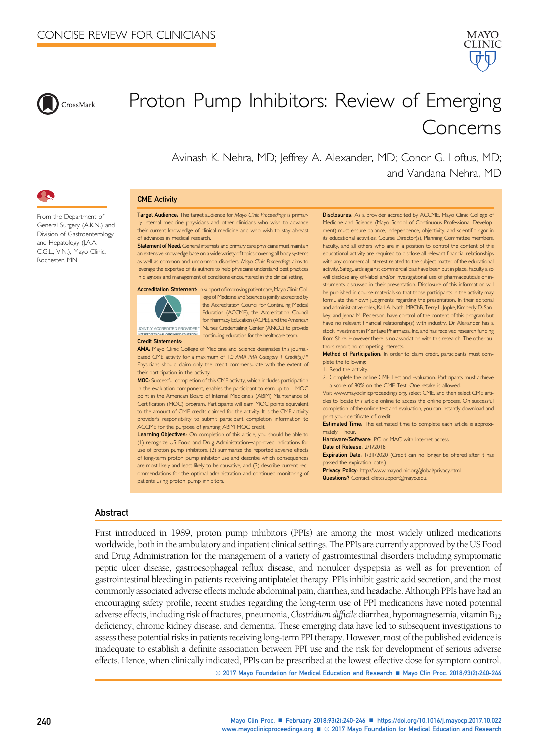



# Proton Pump Inhibitors: Review of Emerging Concerns

Avinash K. Nehra, MD; Jeffrey A. Alexander, MD; Conor G. Loftus, MD; and Vandana Nehra, MD



#### CME Activity

From the Department of General Surgery (A.K.N.) and Division of Gastroenterology and Hepatology (J.A.A., C.G.L., V.N.), Mayo Clinic, Rochester, MN.

Target Audience: The target audience for Mayo Clinic Proceedings is primarily internal medicine physicians and other clinicians who wish to advance their current knowledge of clinical medicine and who wish to stay abreast of advances in medical research.

Statement of Need: General internists and primary care physicians must maintain an extensive knowledge base on a wide variety of topics covering all body systems as well as common and uncommon disorders. Mayo Clinic Proceedings aims to leverage the expertise of its authors to help physicians understand best practices in diagnosis and management of conditions encountered in the clinical setting.



Accreditation Statement: In support of improving patient care, Mayo Clinic College of Medicine and Science is jointly accredited by the Accreditation Council for Continuing Medical Education (ACCME), the Accreditation Council for Pharmacy Education (ACPE), and the American INTLY ACCREDITED PROVIDER<sup>\*</sup> Nurses Credentialing Center (ANCC) to provide INTERPROFESSIONAL CONTINUING EDUCATION continuing education for the healthcare team.

AMA: Mayo Clinic College of Medicine and Science designates this journalbased CME activity for a maximum of 1.0 AMA PRA Category 1 Credit(s).™ Physicians should claim only the credit commensurate with the extent of their participation in the activity.

MOC: Successful completion of this CME activity, which includes participation in the evaluation component, enables the participant to earn up to 1 MOC point in the American Board of Internal Medicine's (ABIM) Maintenance of Certification (MOC) program. Participants will earn MOC points equivalent to the amount of CME credits claimed for the activity. It is the CME activity provider's responsibility to submit participant completion information to ACCME for the purpose of granting ABIM MOC credit.

Learning Objectives: On completion of this article, you should be able to (1) recognize US Food and Drug Administration-approved indications for use of proton pump inhibitors, (2) summarize the reported adverse effects of long-term proton pump inhibitor use and describe which consequences are most likely and least likely to be causative, and (3) describe current recommendations for the optimal administration and continued monitoring of patients using proton pump inhibitors.

Disclosures: As a provider accredited by ACCME, Mayo Clinic College of Medicine and Science (Mayo School of Continuous Professional Development) must ensure balance, independence, objectivity, and scientific rigor in its educational activities. Course Director(s), Planning Committee members, Faculty, and all others who are in a position to control the content of this educational activity are required to disclose all relevant financial relationships with any commercial interest related to the subject matter of the educational activity. Safeguards against commercial bias have been put in place. Faculty also will disclose any off-label and/or investigational use of pharmaceuticals or instruments discussed in their presentation. Disclosure of this information will be published in course materials so that those participants in the activity may formulate their own judgments regarding the presentation. In their editorial and administrative roles, Karl A. Nath, MBChB, Terry L. Jopke, Kimberly D. Sankey, and Jenna M. Pederson, have control of the content of this program but have no relevant financial relationship(s) with industry. Dr Alexander has a stock investment in Meritage Pharmacia, Inc, and has received research funding from Shire. However there is no association with this research. The other authors report no competing interests.

Method of Participation: In order to claim credit, participants must complete the following:

1. Read the activity.

2. Complete the online CME Test and Evaluation. Participants must achieve a score of 80% on the CME Test. One retake is allowed.

Visit [www.mayoclinicproceedings.org,](http://www.mayoclinicproceedings.org) select CME, and then select CME articles to locate this article online to access the online process. On successful completion of the online test and evaluation, you can instantly download and print your certificate of credit.

Estimated Time: The estimated time to complete each article is approximately 1 hour.

Hardware/Software: PC or MAC with Internet access.

Date of Release:  $2/1/2018$ 

Expiration Date: 1/31/2020 (Credit can no longer be offered after it has passed the expiration date.)

Privacy Policy: <http://www.mayoclinic.org/global/privacy.html> Questions? Contact [dletcsupport@mayo.edu.](mailto:dletcsupport@mayo.edu)

## Abstract

First introduced in 1989, proton pump inhibitors (PPIs) are among the most widely utilized medications worldwide, both in the ambulatory and inpatient clinical settings. The PPIs are currently approved by the US Food and Drug Administration for the management of a variety of gastrointestinal disorders including symptomatic peptic ulcer disease, gastroesophageal reflux disease, and nonulcer dyspepsia as well as for prevention of gastrointestinal bleeding in patients receiving antiplatelet therapy. PPIs inhibit gastric acid secretion, and the most commonly associated adverse effects include abdominal pain, diarrhea, and headache. Although PPIs have had an encouraging safety profile, recent studies regarding the long-term use of PPI medications have noted potential adverse effects, including risk of fractures, pneumonia, Clostridium difficile diarrhea, hypomagnesemia, vitamin  $B_{12}$ deficiency, chronic kidney disease, and dementia. These emerging data have led to subsequent investigations to assessthese potential risks in patients receiving long-term PPItherapy. However, most ofthe published evidence is inadequate to establish a definite association between PPI use and the risk for development of serious adverse effects. Hence, when clinically indicated, PPIs can be prescribed at the lowest effective dose for symptom control.

© 2017 Mayo Foundation for Medical Education and Research ■ Mayo Clin Proc. 2018;93(2):240-246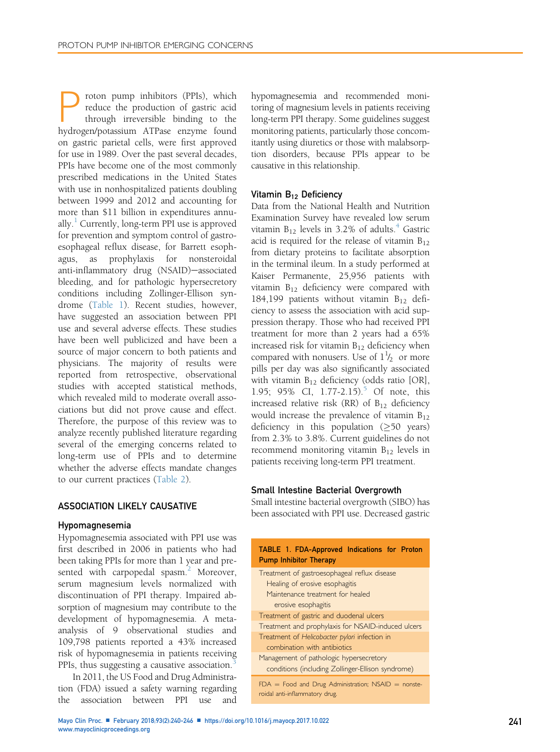roton pump inhibitors (PPIs), which reduce the production of gastric acid through irreversible binding to the hydrogen/potassium ATPase enzyme found on gastric parietal cells, were first approved for use in 1989. Over the past several decades, PPIs have become one of the most commonly prescribed medications in the United States with use in nonhospitalized patients doubling between 1999 and 2012 and accounting for more than \$11 billion in expenditures annually. $<sup>1</sup>$  $<sup>1</sup>$  $<sup>1</sup>$  Currently, long-term PPI use is approved</sup> for prevention and symptom control of gastroesophageal reflux disease, for Barrett esophagus, as prophylaxis for nonsteroidal anti-inflammatory drug (NSAID)-associated bleeding, and for pathologic hypersecretory conditions including Zollinger-Ellison syndrome (Table 1). Recent studies, however, have suggested an association between PPI use and several adverse effects. These studies have been well publicized and have been a source of major concern to both patients and physicians. The majority of results were reported from retrospective, observational studies with accepted statistical methods, which revealed mild to moderate overall associations but did not prove cause and effect. Therefore, the purpose of this review was to analyze recently published literature regarding several of the emerging concerns related to long-term use of PPIs and to determine whether the adverse effects mandate changes to our current practices ([Table 2](#page-3-0)).

## ASSOCIATION LIKELY CAUSATIVE

#### Hypomagnesemia

Hypomagnesemia associated with PPI use was first described in 2006 in patients who had been taking PPIs for more than 1 year and pre-sented with carpopedal spasm.<sup>[2](#page-5-0)</sup> Moreover, serum magnesium levels normalized with discontinuation of PPI therapy. Impaired absorption of magnesium may contribute to the development of hypomagnesemia. A metaanalysis of 9 observational studies and 109,798 patients reported a 43% increased risk of hypomagnesemia in patients receiving PPIs, thus suggesting a causative association.<sup>3</sup>

In 2011, the US Food and Drug Administration (FDA) issued a safety warning regarding the association between PPI use and

hypomagnesemia and recommended monitoring of magnesium levels in patients receiving long-term PPI therapy. Some guidelines suggest monitoring patients, particularly those concomitantly using diuretics or those with malabsorption disorders, because PPIs appear to be causative in this relationship.

## Vitamin B<sub>12</sub> Deficiency

Data from the National Health and Nutrition Examination Survey have revealed low serum vitamin  $B_{12}$  levels in 3.2% of adults.<sup>[4](#page-5-0)</sup> Gastric acid is required for the release of vitamin  $B_{12}$ from dietary proteins to facilitate absorption in the terminal ileum. In a study performed at Kaiser Permanente, 25,956 patients with vitamin  $B_{12}$  deficiency were compared with 184,199 patients without vitamin  $B_{12}$  deficiency to assess the association with acid suppression therapy. Those who had received PPI treatment for more than 2 years had a 65% increased risk for vitamin  $B_{12}$  deficiency when compared with nonusers. Use of  $1\frac{1}{2}$  or more pills per day was also significantly associated with vitamin  $B_{12}$  deficiency (odds ratio [OR], 1.9[5](#page-5-0); 95% CI, 1.77-2.15).<sup>5</sup> Of note, this increased relative risk  $(RR)$  of  $B_{12}$  deficiency would increase the prevalence of vitamin  $B_{12}$ deficiency in this population  $(≥50 \text{ years})$ from 2.3% to 3.8%. Current guidelines do not recommend monitoring vitamin  $B_{12}$  levels in patients receiving long-term PPI treatment.

#### Small Intestine Bacterial Overgrowth

Small intestine bacterial overgrowth (SIBO) has been associated with PPI use. Decreased gastric

| TABLE 1. FDA-Approved Indications for Proton<br><b>Pump Inhibitor Therapy</b>                                                             |  |  |  |
|-------------------------------------------------------------------------------------------------------------------------------------------|--|--|--|
| Treatment of gastroesophageal reflux disease<br>Healing of erosive esophagitis<br>Maintenance treatment for healed<br>erosive esophagitis |  |  |  |
| Treatment of gastric and duodenal ulcers                                                                                                  |  |  |  |
| Treatment and prophylaxis for NSAID-induced ulcers                                                                                        |  |  |  |
| Treatment of Helicobacter pylori infection in<br>combination with antibiotics                                                             |  |  |  |
| Management of pathologic hypersecretory<br>conditions (including Zollinger-Ellison syndrome)                                              |  |  |  |
| $FDA = Food$ and Drug Administration; NSAID = nonste-<br>roidal anti-inflammatory drug.                                                   |  |  |  |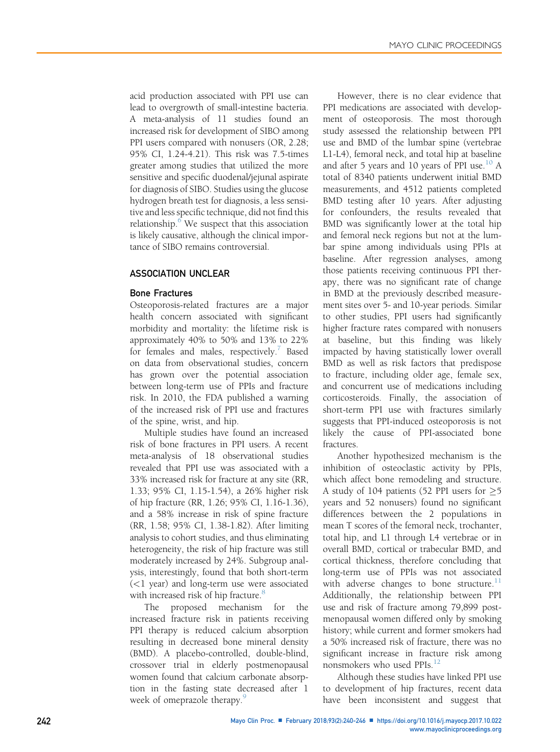acid production associated with PPI use can lead to overgrowth of small-intestine bacteria. A meta-analysis of 11 studies found an increased risk for development of SIBO among PPI users compared with nonusers (OR, 2.28; 95% CI, 1.24-4.21). This risk was 7.5-times greater among studies that utilized the more sensitive and specific duodenal/jejunal aspirate for diagnosis of SIBO. Studies using the glucose hydrogen breath test for diagnosis, a less sensitive and less specific technique, did not find this relationship. $6$  We suspect that this association is likely causative, although the clinical importance of SIBO remains controversial.

# ASSOCIATION UNCLEAR

## Bone Fractures

Osteoporosis-related fractures are a major health concern associated with significant morbidity and mortality: the lifetime risk is approximately 40% to 50% and 13% to 22% for females and males, respectively.<sup>[7](#page-6-0)</sup> Based on data from observational studies, concern has grown over the potential association between long-term use of PPIs and fracture risk. In 2010, the FDA published a warning of the increased risk of PPI use and fractures of the spine, wrist, and hip.

Multiple studies have found an increased risk of bone fractures in PPI users. A recent meta-analysis of 18 observational studies revealed that PPI use was associated with a 33% increased risk for fracture at any site (RR, 1.33; 95% CI, 1.15-1.54), a 26% higher risk of hip fracture (RR, 1.26; 95% CI, 1.16-1.36), and a 58% increase in risk of spine fracture (RR, 1.58; 95% CI, 1.38-1.82). After limiting analysis to cohort studies, and thus eliminating heterogeneity, the risk of hip fracture was still moderately increased by 24%. Subgroup analysis, interestingly, found that both short-term (<1 year) and long-term use were associated with increased risk of hip fracture.<sup>[8](#page-6-0)</sup>

The proposed mechanism for the increased fracture risk in patients receiving PPI therapy is reduced calcium absorption resulting in decreased bone mineral density (BMD). A placebo-controlled, double-blind, crossover trial in elderly postmenopausal women found that calcium carbonate absorption in the fasting state decreased after 1 week of omeprazole therapy.<sup>[9](#page-6-0)</sup>

However, there is no clear evidence that PPI medications are associated with development of osteoporosis. The most thorough study assessed the relationship between PPI use and BMD of the lumbar spine (vertebrae L1-L4), femoral neck, and total hip at baseline and after 5 years and [10](#page-6-0) years of PPI use. $10^{\circ}$  A total of 8340 patients underwent initial BMD measurements, and 4512 patients completed BMD testing after 10 years. After adjusting for confounders, the results revealed that BMD was significantly lower at the total hip and femoral neck regions but not at the lumbar spine among individuals using PPIs at baseline. After regression analyses, among those patients receiving continuous PPI therapy, there was no significant rate of change in BMD at the previously described measurement sites over 5- and 10-year periods. Similar to other studies, PPI users had significantly higher fracture rates compared with nonusers at baseline, but this finding was likely impacted by having statistically lower overall BMD as well as risk factors that predispose to fracture, including older age, female sex, and concurrent use of medications including corticosteroids. Finally, the association of short-term PPI use with fractures similarly suggests that PPI-induced osteoporosis is not likely the cause of PPI-associated bone fractures.

Another hypothesized mechanism is the inhibition of osteoclastic activity by PPIs, which affect bone remodeling and structure. A study of 104 patients (52 PPI users for  $\geq$ 5 years and 52 nonusers) found no significant differences between the 2 populations in mean T scores of the femoral neck, trochanter, total hip, and L1 through L4 vertebrae or in overall BMD, cortical or trabecular BMD, and cortical thickness, therefore concluding that long-term use of PPIs was not associated with adverse changes to bone structure. $11$ Additionally, the relationship between PPI use and risk of fracture among 79,899 postmenopausal women differed only by smoking history; while current and former smokers had a 50% increased risk of fracture, there was no significant increase in fracture risk among nonsmokers who used PPIs.<sup>[12](#page-6-0)</sup>

Although these studies have linked PPI use to development of hip fractures, recent data have been inconsistent and suggest that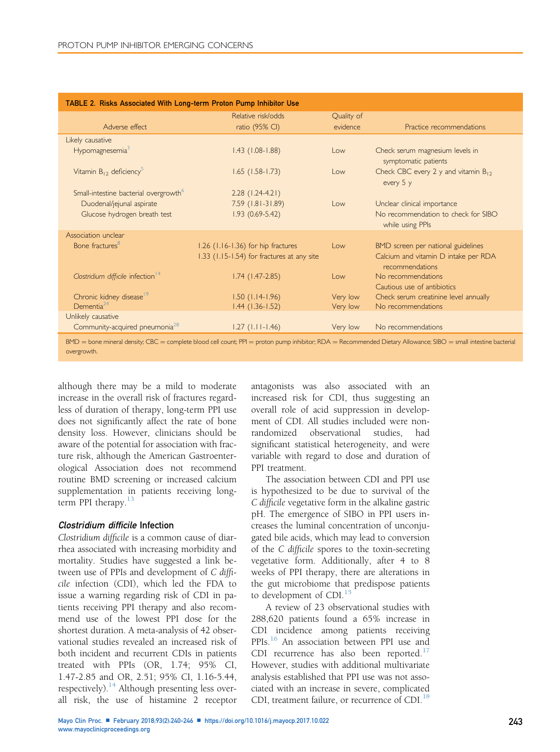<span id="page-3-0"></span>

| TABLE 2. Risks Associated With Long-term Proton Pump Inhibitor Use                                                                                                     |                                                    |            |                                                         |  |
|------------------------------------------------------------------------------------------------------------------------------------------------------------------------|----------------------------------------------------|------------|---------------------------------------------------------|--|
|                                                                                                                                                                        | Relative risk/odds                                 | Quality of |                                                         |  |
| Adverse effect                                                                                                                                                         | ratio (95% CI)                                     | evidence   | Practice recommendations                                |  |
| Likely causative                                                                                                                                                       |                                                    |            |                                                         |  |
| Hypomagnesemia <sup>3</sup>                                                                                                                                            | $1.43$ (1.08-1.88)                                 | Low        | Check serum magnesium levels in<br>symptomatic patients |  |
| Vitamin $B_{12}$ deficiency <sup>5</sup>                                                                                                                               | $1.65$ (1.58-1.73)                                 | Low        | Check CBC every 2 y and vitamin $B_{12}$<br>every 5 y   |  |
| Small-intestine bacterial overgrowth <sup>6</sup>                                                                                                                      | $2.28$ (1.24-4.21)                                 |            |                                                         |  |
| Duodenal/jejunal aspirate                                                                                                                                              | 7.59 (1.81-31.89)                                  | $\log$     | Unclear clinical importance                             |  |
| Glucose hydrogen breath test                                                                                                                                           | $1.93(0.69-5.42)$                                  |            | No recommendation to check for SIBO<br>while using PPIs |  |
| Association unclear                                                                                                                                                    |                                                    |            |                                                         |  |
| Bone fractures <sup>8</sup>                                                                                                                                            | 1.26 (1.16-1.36) for hip fractures                 | Low        | BMD screen per national guidelines                      |  |
|                                                                                                                                                                        | $1.33$ ( $1.15 - 1.54$ ) for fractures at any site |            | Calcium and vitamin D intake per RDA<br>recommendations |  |
| Clostridium difficile infection <sup>14</sup>                                                                                                                          | $1.74$ (1.47-2.85)                                 | Low        | No recommendations                                      |  |
|                                                                                                                                                                        |                                                    |            | Cautious use of antibiotics                             |  |
| Chronic kidney disease <sup>19</sup>                                                                                                                                   | $1.50$ (1.14-1.96)                                 | Very low   | Check serum creatinine level annually                   |  |
| Dementia $^{24}$                                                                                                                                                       | $1.44$ $(1.36 - 1.52)$                             | Very low   | No recommendations                                      |  |
| Unlikely causative                                                                                                                                                     |                                                    |            |                                                         |  |
| Community-acquired pneumonia <sup>28</sup>                                                                                                                             | $1.27$ ( $1.11 - 1.46$ )                           | Very low   | No recommendations                                      |  |
| $RMD$ - bone mineral density $CRC$ - complete blood cell count: $PPI$ - proton pump inhibitor: $RDA$ - Recommended Dietary Allowance: SIRO - small intestine bacterial |                                                    |            |                                                         |  |

 ${\tt BMD}$   $=$  bone mineral density;  ${\tt CBC}$   $=$  complete blood cell count;  ${\sf PPI}$   $=$  proton pump inhibitor;  ${\sf RDA}$   $=$   ${\sf Recommended\, }$   $D$  ietary Allowance;  ${\sf SIBO}$   $=$  small intestine bacterial overgrowth.

although there may be a mild to moderate increase in the overall risk of fractures regardless of duration of therapy, long-term PPI use does not significantly affect the rate of bone density loss. However, clinicians should be aware of the potential for association with fracture risk, although the American Gastroenterological Association does not recommend routine BMD screening or increased calcium supplementation in patients receiving longterm PPI therapy. $13$ 

## Clostridium difficile Infection

Clostridium difficile is a common cause of diarrhea associated with increasing morbidity and mortality. Studies have suggested a link between use of PPIs and development of C difficile infection (CDI), which led the FDA to issue a warning regarding risk of CDI in patients receiving PPI therapy and also recommend use of the lowest PPI dose for the shortest duration. A meta-analysis of 42 observational studies revealed an increased risk of both incident and recurrent CDIs in patients treated with PPIs (OR, 1.74; 95% CI, 1.47-2.85 and OR, 2.51; 95% CI, 1.16-5.44, respectively). $14$  Although presenting less overall risk, the use of histamine 2 receptor

antagonists was also associated with an increased risk for CDI, thus suggesting an overall role of acid suppression in development of CDI. All studies included were nonrandomized observational studies, had significant statistical heterogeneity, and were variable with regard to dose and duration of PPI treatment.

The association between CDI and PPI use is hypothesized to be due to survival of the C difficile vegetative form in the alkaline gastric pH. The emergence of SIBO in PPI users increases the luminal concentration of unconjugated bile acids, which may lead to conversion of the C difficile spores to the toxin-secreting vegetative form. Additionally, after 4 to 8 weeks of PPI therapy, there are alterations in the gut microbiome that predispose patients to development of  $CDI<sub>15</sub>$  $CDI<sub>15</sub>$  $CDI<sub>15</sub>$ 

A review of 23 observational studies with 288,620 patients found a 65% increase in CDI incidence among patients receiving PPIs.<sup>[16](#page-6-0)</sup> An association between PPI use and CDI recurrence has also been reported. $17$ However, studies with additional multivariate analysis established that PPI use was not associated with an increase in severe, complicated CDI, treatment failure, or recurrence of CDI.<sup>[18](#page-6-0)</sup>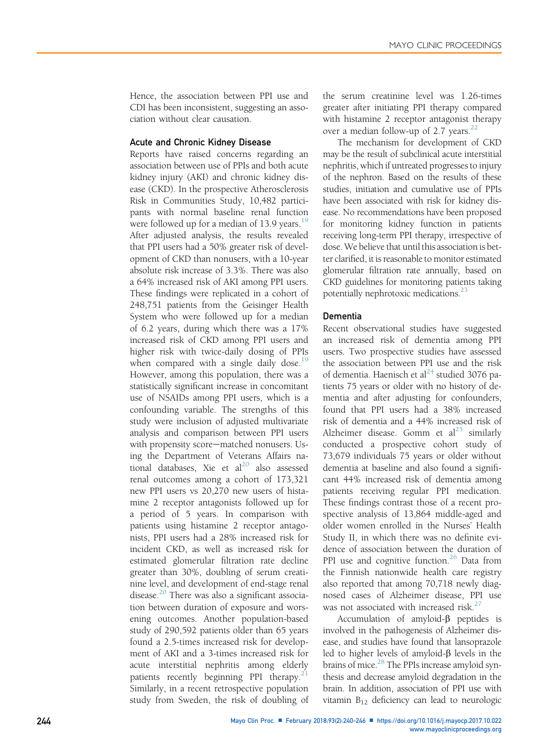Hence, the association between PPI use and CDI has been inconsistent, suggesting an association without clear causation.

## Acute and Chronic Kidney Disease

Reports have raised concerns regarding an association between use of PPIs and both acute kidney injury (AKI) and chronic kidney disease (CKD). In the prospective Atherosclerosis Risk in Communities Study, 10,482 participants with normal baseline renal function were followed up for a median of 13.9 years. $19$ After adjusted analysis, the results revealed that PPI users had a 50% greater risk of development of CKD than nonusers, with a 10-year absolute risk increase of 3.3%. There was also a 64% increased risk of AKI among PPI users. These findings were replicated in a cohort of 248,751 patients from the Geisinger Health System who were followed up for a median of 6.2 years, during which there was a 17% increased risk of CKD among PPI users and higher risk with twice-daily dosing of PPIs when compared with a single daily dose.<sup>[19](#page-6-0)</sup> However, among this population, there was a statistically significant increase in concomitant use of NSAIDs among PPI users, which is a confounding variable. The strengths of this study were inclusion of adjusted multivariate analysis and comparison between PPI users with propensity score-matched nonusers. Using the Department of Veterans Affairs national databases, Xie et al $^{20}$  $^{20}$  $^{20}$  also assessed renal outcomes among a cohort of 173,321 new PPI users vs 20,270 new users of histamine 2 receptor antagonists followed up for a period of 5 years. In comparison with patients using histamine 2 receptor antagonists, PPI users had a 28% increased risk for incident CKD, as well as increased risk for estimated glomerular filtration rate decline greater than 30%, doubling of serum creatinine level, and development of end-stage renal disease. $20$  There was also a significant association between duration of exposure and worsening outcomes. Another population-based study of 290,592 patients older than 65 years found a 2.5-times increased risk for development of AKI and a 3-times increased risk for acute interstitial nephritis among elderly patients recently beginning PPI therapy. $21$ Similarly, in a recent retrospective population study from Sweden, the risk of doubling of the serum creatinine level was 1.26-times greater after initiating PPI therapy compared with histamine 2 receptor antagonist therapy over a median follow-up of 2.7 years. $^{22}$ 

The mechanism for development of CKD may be the result of subclinical acute interstitial nephritis, which if untreated progresses to injury of the nephron. Based on the results of these studies, initiation and cumulative use of PPIs have been associated with risk for kidney disease. No recommendations have been proposed for monitoring kidney function in patients receiving long-term PPI therapy, irrespective of dose. We believe that until this association is better clarified, it is reasonable to monitor estimated glomerular filtration rate annually, based on CKD guidelines for monitoring patients taking potentially nephrotoxic medications. $^{23}$  $^{23}$  $^{23}$ 

## Dementia

Recent observational studies have suggested an increased risk of dementia among PPI users. Two prospective studies have assessed the association between PPI use and the risk of dementia. Haenisch et al<sup>[24](#page-6-0)</sup> studied 3076 patients 75 years or older with no history of dementia and after adjusting for confounders, found that PPI users had a 38% increased risk of dementia and a 44% increased risk of Alzheimer disease. Gomm et  $al^{25}$  $al^{25}$  $al^{25}$  similarly conducted a prospective cohort study of 73,679 individuals 75 years or older without dementia at baseline and also found a significant 44% increased risk of dementia among patients receiving regular PPI medication. These findings contrast those of a recent prospective analysis of 13,864 middle-aged and older women enrolled in the Nurses' Health Study II, in which there was no definite evidence of association between the duration of PPI use and cognitive function.<sup>[26](#page-6-0)</sup> Data from the Finnish nationwide health care registry also reported that among 70,718 newly diagnosed cases of Alzheimer disease, PPI use was not associated with increased risk. $27$ 

Accumulation of amyloid- $\beta$  peptides is involved in the pathogenesis of Alzheimer disease, and studies have found that lansoprazole led to higher levels of amyloid- $\beta$  levels in the brains of mice.<sup>28</sup> The PPIs increase amyloid synthesis and decrease amyloid degradation in the brain. In addition, association of PPI use with vitamin  $B_{12}$  deficiency can lead to neurologic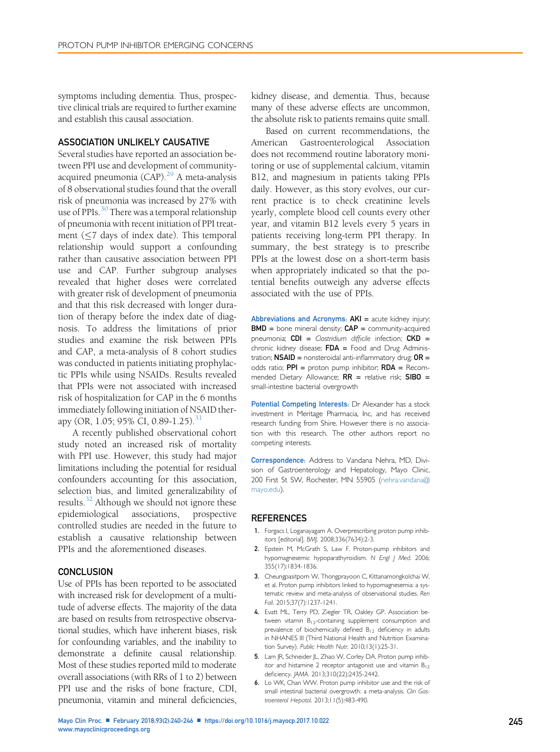<span id="page-5-0"></span>symptoms including dementia. Thus, prospective clinical trials are required to further examine and establish this causal association.

# ASSOCIATION UNLIKELY CAUSATIVE

Several studies have reported an association between PPI use and development of communityacquired pneumonia  $(CAP)$ <sup>[29](#page-6-0)</sup> A meta-analysis of 8 observational studies found that the overall risk of pneumonia was increased by 27% with use of PPIs. $^{30}$  $^{30}$  $^{30}$  There was a temporal relationship of pneumonia with recent initiation of PPI treatment  $(\leq 7$  days of index date). This temporal relationship would support a confounding rather than causative association between PPI use and CAP. Further subgroup analyses revealed that higher doses were correlated with greater risk of development of pneumonia and that this risk decreased with longer duration of therapy before the index date of diagnosis. To address the limitations of prior studies and examine the risk between PPIs and CAP, a meta-analysis of 8 cohort studies was conducted in patients initiating prophylactic PPIs while using NSAIDs. Results revealed that PPIs were not associated with increased risk of hospitalization for CAP in the 6 months immediately following initiation of NSAID ther-apy (OR, 1.05; 95% CI, 0.89-1.25).<sup>[31](#page-6-0)</sup>

A recently published observational cohort study noted an increased risk of mortality with PPI use. However, this study had major limitations including the potential for residual confounders accounting for this association, selection bias, and limited generalizability of results.<sup>[32](#page-6-0)</sup> Although we should not ignore these epidemiological associations, prospective controlled studies are needed in the future to establish a causative relationship between PPIs and the aforementioned diseases.

## **CONCLUSION**

Use of PPIs has been reported to be associated with increased risk for development of a multitude of adverse effects. The majority of the data are based on results from retrospective observational studies, which have inherent biases, risk for confounding variables, and the inability to demonstrate a definite causal relationship. Most of these studies reported mild to moderate overall associations (with RRs of 1 to 2) between PPI use and the risks of bone fracture, CDI, pneumonia, vitamin and mineral deficiencies,

kidney disease, and dementia. Thus, because many of these adverse effects are uncommon, the absolute risk to patients remains quite small.

Based on current recommendations, the American Gastroenterological Association does not recommend routine laboratory monitoring or use of supplemental calcium, vitamin B12, and magnesium in patients taking PPIs daily. However, as this story evolves, our current practice is to check creatinine levels yearly, complete blood cell counts every other year, and vitamin B12 levels every 5 years in patients receiving long-term PPI therapy. In summary, the best strategy is to prescribe PPIs at the lowest dose on a short-term basis when appropriately indicated so that the potential benefits outweigh any adverse effects associated with the use of PPIs.

Abbreviations and Acronyms:  $AKI =$  acute kidney injury;  $BMD =$  bone mineral density;  $CAP =$  community-acquired pneumonia;  $CDI =$  Clostridium difficile infection;  $CKD =$ chronic kidney disease;  $FDA =$  Food and Drug Administration;  $NSAID$  = nonsteroidal anti-inflammatory drug;  $OR =$ odds ratio;  $PPI =$  proton pump inhibitor;  $RDA =$  Recommended Dietary Allowance;  $RR$  = relative risk;  $SIBO$  = small-intestine bacterial overgrowth

Potential Competing Interests: Dr Alexander has a stock investment in Meritage Pharmacia, Inc, and has received research funding from Shire. However there is no association with this research. The other authors report no competing interests.

Correspondence: Address to Vandana Nehra, MD, Division of Gastroenterology and Hepatology, Mayo Clinic, 200 First St SW, Rochester, MN 55905 [\(nehra.vandana@](mailto:nehra.vandana@mayo.edu) [mayo.edu\)](mailto:nehra.vandana@mayo.edu).

## **REFERENCES**

- 1. Forgacs I, Loganayagam A. Overprescribing proton pump inhibitors [editorial]. BMJ. 2008;336(7634):2-3.
- 2. Epstein M, McGrath S, Law F. Proton-pump inhibitors and hypomagnesemic hypoparathyroidism. N Engl J Med. 2006; 355(17):1834-1836.
- 3. Cheungpasitporn W, Thongprayoon C, Kittanamongkolchai W, et al. Proton pump inhibitors linked to hypomagnesemia: a systematic review and meta-analysis of observational studies. Ren Fail. 2015;37(7):1237-1241.
- 4. Evatt ML, Terry PD, Ziegler TR, Oakley GP. Association between vitamin B<sub>12</sub>-containing supplement consumption and prevalence of biochemically defined B<sub>12</sub> deficiency in adults in NHANES III (Third National Health and Nutrition Examination Survey). Public Health Nutr. 2010;13(1):25-31.
- 5. Lam JR, Schneider JL, Zhao W, Corley DA. Proton pump inhibitor and histamine 2 receptor antagonist use and vitamin  $B_{12}$ deficiency. JAMA. 2013;310(22):2435-2442.
- 6. Lo WK, Chan WW. Proton pump inhibitor use and the risk of small intestinal bacterial overgrowth: a meta-analysis. Clin Gastroenterol Hepatol. 2013;11(5):483-490.